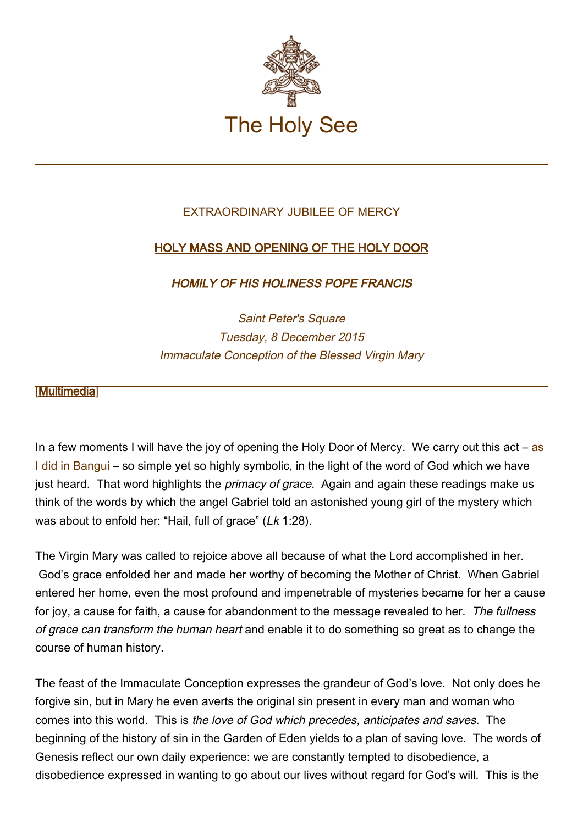

## EXTRAORDINARY JUBILEE OF MERCY

## HOLY MASS AND OPENING OF THE HOLY DOOR

HOMILY OF HIS HOLINESS POPE FRANCIS

Saint Peter's Square Tuesday, 8 December 2015 Immaculate Conception of the Blessed Virgin Mary

## **[\[Multimedia](http://w2.vatican.va/content/francesco/en/events/event.dir.html/content/vaticanevents/en/2015/12/8/aperturaportasanta.html)]**

In a few moments I will have the joy of opening the Holy Door of Mercy. We carry out this  $act - as$  $act - as$ [I did in Bangui](http://w2.vatican.va/content/francesco/en/events/event.dir.html/content/vaticanevents/en/2015/11/29/repcentrafricanamessa.html) – so simple yet so highly symbolic, in the light of the word of God which we have just heard. That word highlights the *primacy of grace*. Again and again these readings make us think of the words by which the angel Gabriel told an astonished young girl of the mystery which was about to enfold her: "Hail, full of grace" (Lk 1:28).

The Virgin Mary was called to rejoice above all because of what the Lord accomplished in her. God's grace enfolded her and made her worthy of becoming the Mother of Christ. When Gabriel entered her home, even the most profound and impenetrable of mysteries became for her a cause for joy, a cause for faith, a cause for abandonment to the message revealed to her. The fullness of grace can transform the human heart and enable it to do something so great as to change the course of human history.

The feast of the Immaculate Conception expresses the grandeur of God's love. Not only does he forgive sin, but in Mary he even averts the original sin present in every man and woman who comes into this world. This is the love of God which precedes, anticipates and saves. The beginning of the history of sin in the Garden of Eden yields to a plan of saving love. The words of Genesis reflect our own daily experience: we are constantly tempted to disobedience, a disobedience expressed in wanting to go about our lives without regard for God's will. This is the